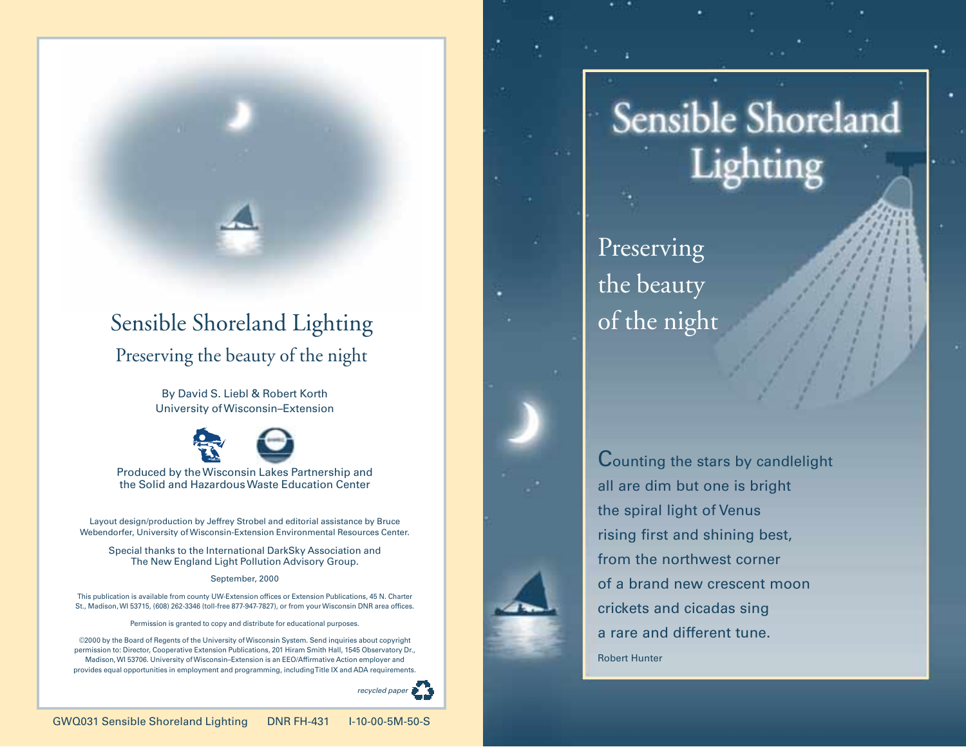# Preserving the beauty of the night Sensible Shoreland Lighting

By David S. Liebl & Robert Korth University of Wisconsin–Extension



Produced by the Wisconsin Lakes Partnership and the Solid and Hazardous Waste Education Center

Layout design/production by Jeffrey Strobel and editorial assistance by Bruce Webendorfer, University of Wisconsin-Extension Environmental Resources Center.

Special thanks to the International DarkSky Association and The New England Light Pollution Advisory Group.

### September, 2000

This publication is available from county UW-Extension offices or Extension Publications, 45 N. Charter St., Madison, WI 53715, (608) 262-3346 (toll-free 877-947-7827), or from your Wisconsin DNR area offices.

Permission is granted to copy and distribute for educational purposes.

©2000 by the Board of Regents of the University of Wisconsin System. Send inquiries about copyright permission to: Director, Cooperative Extension Publications, 201 Hiram Smith Hall, 1545 Observatory Dr., Madison, WI 53706. University of Wisconsin–Extension is an EEO/Affirmative Action employer and provides equal opportunities in employment and programming, including Title IX and ADA requirements.



# **Sensible Shoreland** Lighting

Preserving the beauty of the night

Counting the stars by candlelight all are dim but one is bright the spiral light of Venus rising first and shining best, from the northwest corner of a brand new crescent moon crickets and cicadas sing a rare and different tune. Robert Hunter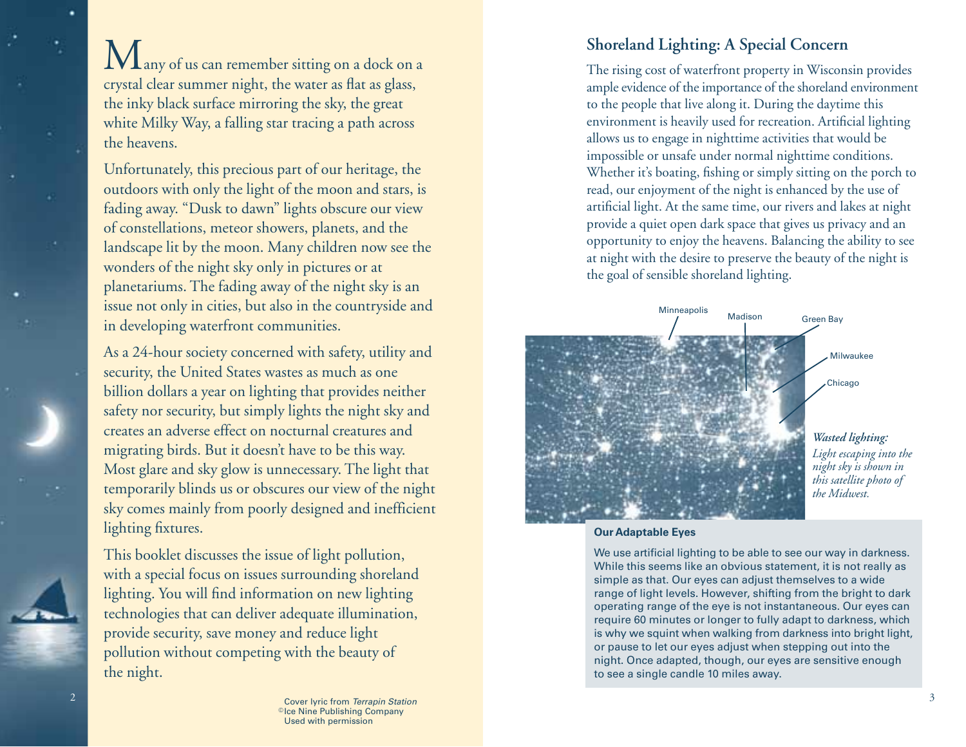$\bf{M}$ any of us can remember sitting on a dock on a crystal clear summer night, the water as flat as glass, the inky black surface mirroring the sky, the great white Milky Way, a falling star tracing a path across the heavens.

Unfortunately, this precious part of our heritage, the outdoors with only the light of the moon and stars, is fading away. "Dusk to dawn" lights obscure our view of constellations, meteor showers, planets, and the landscape lit by the moon. Many children now see the wonders of the night sky only in pictures or at planetariums. The fading away of the night sky is an issue not only in cities, but also in the countryside and in developing waterfront communities.

As a 24-hour society concerned with safety, utility and security, the United States wastes as much as one billion dollars a year on lighting that provides neither safety nor security, but simply lights the night sky and creates an adverse effect on nocturnal creatures and migrating birds. But it doesn't have to be this way. Most glare and sky glow is unnecessary. The light that temporarily blinds us or obscures our view of the night sky comes mainly from poorly designed and inefficient lighting fixtures.

This booklet discusses the issue of light pollution, with a special focus on issues surrounding shoreland lighting. You will find information on new lighting technologies that can deliver adequate illumination, provide security, save money and reduce light pollution without competing with the beauty of the night.

# **Shoreland Lighting: A Special Concern**

The rising cost of waterfront property in Wisconsin provides ample evidence of the importance of the shoreland environment to the people that live along it. During the daytime this environment is heavily used for recreation. Artificial lighting allows us to engage in nighttime activities that would be impossible or unsafe under normal nighttime conditions. Whether it's boating, fishing or simply sitting on the porch to read, our enjoyment of the night is enhanced by the use of artificial light. At the same time, our rivers and lakes at night provide a quiet open dark space that gives us privacy and an opportunity to enjoy the heavens. Balancing the ability to see at night with the desire to preserve the beauty of the night is the goal of sensible shoreland lighting.



**Our Adaptable Eyes**

We use artificial lighting to be able to see our way in darkness. While this seems like an obvious statement, it is not really as simple as that. Our eyes can adjust themselves to a wide range of light levels. However, shifting from the bright to dark operating range of the eye is not instantaneous. Our eyes can require 60 minutes or longer to fully adapt to darkness, which is why we squint when walking from darkness into bright light, or pause to let our eyes adjust when stepping out into the night. Once adapted, though, our eyes are sensitive enough to see a single candle 10 miles away.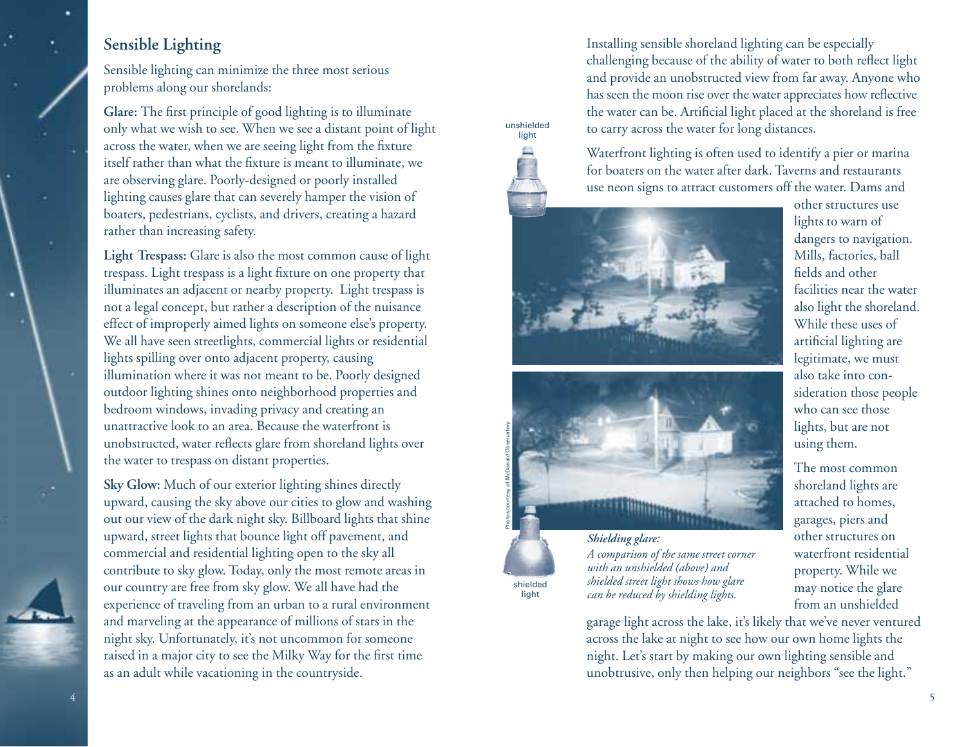# **Sensible Lighting**

Sensible lighting can minimize the three most serious problems along our shorelands:

**Glare:** The first principle of good lighting is to illuminate only what we wish to see. When we see a distant point of light across the water, when we are seeing light from the fixture itself rather than what the fixture is meant to illuminate, we are observing glare. Poorly-designed or poorly installed lighting causes glare that can severely hamper the vision of boaters, pedestrians, cyclists, and drivers, creating a hazard rather than increasing safety.

**Light Trespass:** Glare is also the most common cause of light trespass. Light trespass is a light fixture on one property that illuminates an adjacent or nearby property. Light trespass is not a legal concept, but rather a description of the nuisance effect of improperly aimed lights on someone else's property. We all have seen streetlights, commercial lights or residential lights spilling over onto adjacent property, causing illumination where it was not meant to be. Poorly designed outdoor lighting shines onto neighborhood properties and bedroom windows, invading privacy and creating an unattractive look to an area. Because the waterfront is unobstructed, water reflects glare from shoreland lights over the water to trespass on distant properties.

**Sky Glow:** Much of our exterior lighting shines directly upward, causing the sky above our cities to glow and washing out our view of the dark night sky. Billboard lights that shine upward, street lights that bounce light off pavement, and commercial and residential lighting open to the sky all contribute to sky glow. Today, only the most remote areas in our country are free from sky glow. We all have had the experience of traveling from an urban to a rural environment and marveling at the appearance of millions of stars in the night sky. Unfortunately, it's not uncommon for someone raised in a major city to see the Milky Way for the first time as an adult while vacationing in the countryside.

Installing sensible shoreland lighting can be especially challenging because of the ability of water to both reflect light and provide an unobstructed view from far away. Anyone who has seen the moon rise over the water appreciates how reflective the water can be. Artificial light placed at the shoreland is free to carry across the water for long distances.



shielded light

unshielded







*Shielding glare: A comparison of the same street corner with an unshielded (above) and shielded street light shows how glare can be reduced by shielding lights.*

other structures use lights to warn of dangers to navigation. Mills, factories, ball fields and other facilities near the water also light the shoreland. While these uses of artificial lighting are legitimate, we must also take into consideration those people who can see those lights, but are not using them.

The most common shoreland lights are attached to homes, garages, piers and other structures on waterfront residential property. While we may notice the glare from an unshielded

garage light across the lake, it's likely that we've never ventured across the lake at night to see how our own home lights the night. Let's start by making our own lighting sensible and unobtrusive, only then helping our neighbors "see the light."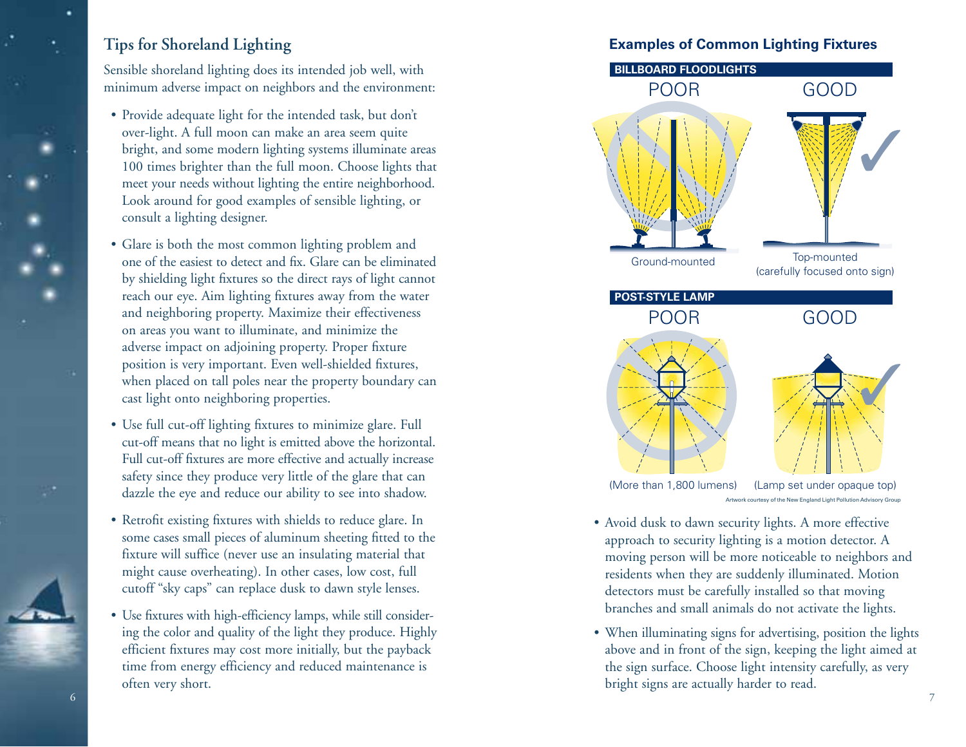# **Tips for Shoreland Lighting**

Sensible shoreland lighting does its intended job well, with minimum adverse impact on neighbors and the environment:

- Provide adequate light for the intended task, but don't over-light. A full moon can make an area seem quite bright, and some modern lighting systems illuminate areas 100 times brighter than the full moon. Choose lights that meet your needs without lighting the entire neighborhood. Look around for good examples of sensible lighting, or consult a lighting designer.
- Glare is both the most common lighting problem and one of the easiest to detect and fix. Glare can be eliminated by shielding light fixtures so the direct rays of light cannot reach our eye. Aim lighting fixtures away from the water and neighboring property. Maximize their effectiveness on areas you want to illuminate, and minimize the adverse impact on adjoining property. Proper fixture position is very important. Even well-shielded fixtures, when placed on tall poles near the property boundary can cast light onto neighboring properties.
- Use full cut-off lighting fixtures to minimize glare. Full cut-off means that no light is emitted above the horizontal. Full cut-off fixtures are more effective and actually increase safety since they produce very little of the glare that can dazzle the eye and reduce our ability to see into shadow.
- Retrofit existing fixtures with shields to reduce glare. In some cases small pieces of aluminum sheeting fitted to the fixture will suffice (never use an insulating material that might cause overheating). In other cases, low cost, full cutoff "sky caps" can replace dusk to dawn style lenses.
- Use fixtures with high-efficiency lamps, while still considering the color and quality of the light they produce. Highly efficient fixtures may cost more initially, but the payback time from energy efficiency and reduced maintenance is often very short.

## **Examples of Common Lighting Fixtures**



- Avoid dusk to dawn security lights. A more effective approach to security lighting is a motion detector. A moving person will be more noticeable to neighbors and residents when they are suddenly illuminated. Motion detectors must be carefully installed so that moving branches and small animals do not activate the lights.
- When illuminating signs for advertising, position the lights above and in front of the sign, keeping the light aimed at the sign surface. Choose light intensity carefully, as very bright signs are actually harder to read.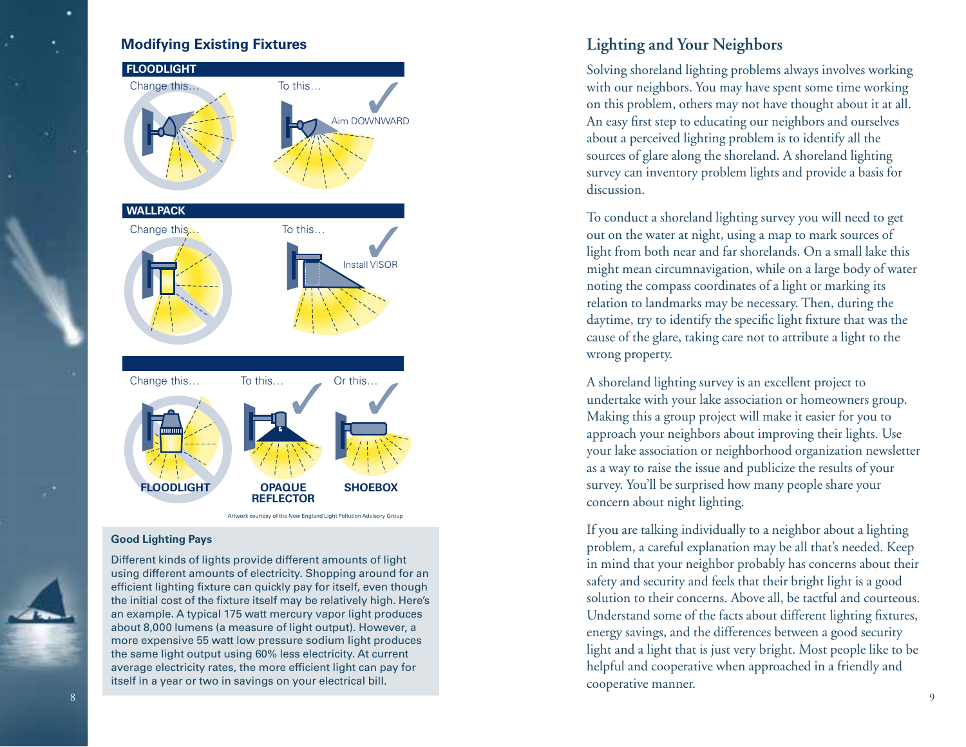

Artwork courtesy of the New England Light Pollution Advisory Group

### **Good Lighting Pays**

Different kinds of lights provide different amounts of light using different amounts of electricity. Shopping around for an efficient lighting fixture can quickly pay for itself, even though the initial cost of the fixture itself may be relatively high. Here's an example. A typical 175 watt mercury vapor light produces about 8,000 lumens (a measure of light output). However, a more expensive 55 watt low pressure sodium light produces the same light output using 60% less electricity. At current average electricity rates, the more efficient light can pay for itself in a year or two in savings on your electrical bill.

Solving shoreland lighting problems always involves working with our neighbors. You may have spent some time working on this problem, others may not have thought about it at all. An easy first step to educating our neighbors and ourselves about a perceived lighting problem is to identify all the sources of glare along the shoreland. A shoreland lighting survey can inventory problem lights and provide a basis for discussion.

To conduct a shoreland lighting survey you will need to get out on the water at night, using a map to mark sources of light from both near and far shorelands. On a small lake this might mean circumnavigation, while on a large body of water noting the compass coordinates of a light or marking its relation to landmarks may be necessary. Then, during the daytime, try to identify the specific light fixture that was the cause of the glare, taking care not to attribute a light to the wrong property.

A shoreland lighting survey is an excellent project to undertake with your lake association or homeowners group. Making this a group project will make it easier for you to approach your neighbors about improving their lights. Use your lake association or neighborhood organization newsletter as a way to raise the issue and publicize the results of your survey. You'll be surprised how many people share your concern about night lighting.

If you are talking individually to a neighbor about a lighting problem, a careful explanation may be all that's needed. Keep in mind that your neighbor probably has concerns about their safety and security and feels that their bright light is a good solution to their concerns. Above all, be tactful and courteous. Understand some of the facts about different lighting fixtures, energy savings, and the differences between a good security light and a light that is just very bright. Most people like to be helpful and cooperative when approached in a friendly and cooperative manner.